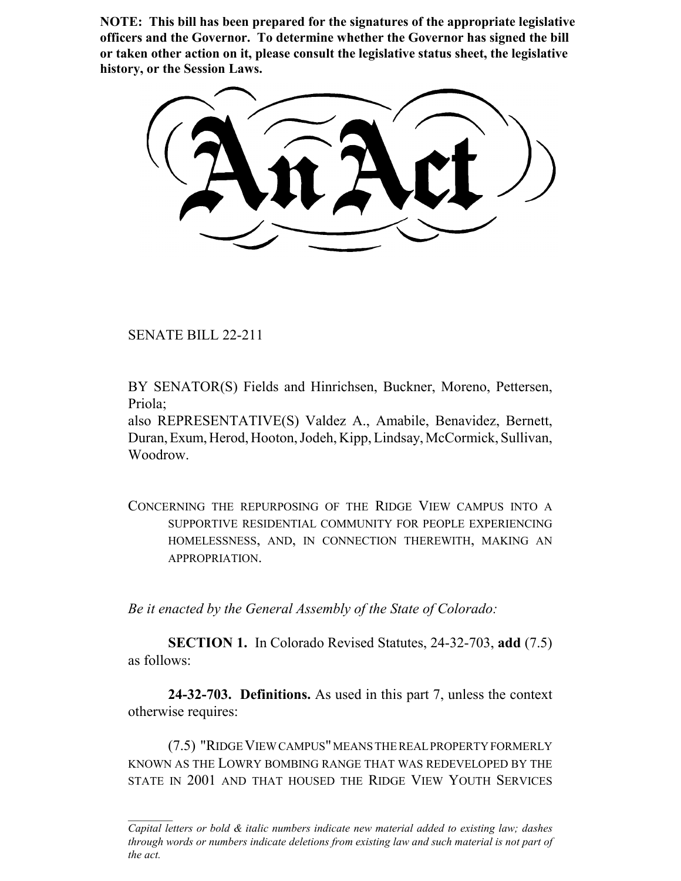**NOTE: This bill has been prepared for the signatures of the appropriate legislative officers and the Governor. To determine whether the Governor has signed the bill or taken other action on it, please consult the legislative status sheet, the legislative history, or the Session Laws.**

SENATE BILL 22-211

BY SENATOR(S) Fields and Hinrichsen, Buckner, Moreno, Pettersen, Priola;

also REPRESENTATIVE(S) Valdez A., Amabile, Benavidez, Bernett, Duran, Exum, Herod, Hooton, Jodeh, Kipp, Lindsay, McCormick, Sullivan, Woodrow.

CONCERNING THE REPURPOSING OF THE RIDGE VIEW CAMPUS INTO A SUPPORTIVE RESIDENTIAL COMMUNITY FOR PEOPLE EXPERIENCING HOMELESSNESS, AND, IN CONNECTION THEREWITH, MAKING AN APPROPRIATION.

*Be it enacted by the General Assembly of the State of Colorado:*

**SECTION 1.** In Colorado Revised Statutes, 24-32-703, **add** (7.5) as follows:

**24-32-703. Definitions.** As used in this part 7, unless the context otherwise requires:

(7.5) "RIDGE VIEW CAMPUS" MEANS THE REAL PROPERTY FORMERLY KNOWN AS THE LOWRY BOMBING RANGE THAT WAS REDEVELOPED BY THE STATE IN 2001 AND THAT HOUSED THE RIDGE VIEW YOUTH SERVICES

*Capital letters or bold & italic numbers indicate new material added to existing law; dashes through words or numbers indicate deletions from existing law and such material is not part of the act.*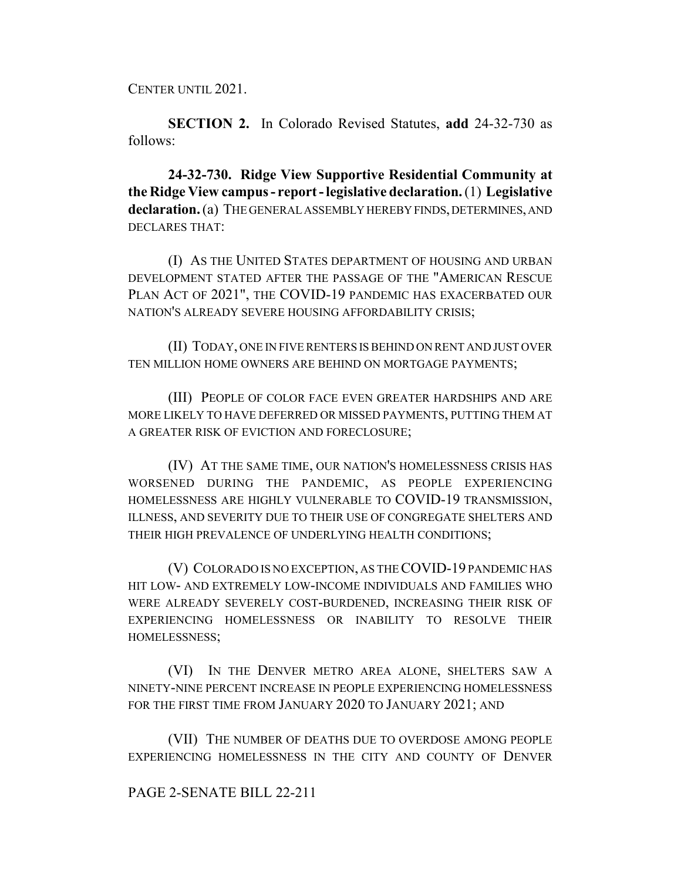CENTER UNTIL 2021.

**SECTION 2.** In Colorado Revised Statutes, **add** 24-32-730 as follows:

**24-32-730. Ridge View Supportive Residential Community at the Ridge View campus - report - legislative declaration.** (1) **Legislative declaration.** (a) THE GENERAL ASSEMBLY HEREBY FINDS, DETERMINES, AND DECLARES THAT:

(I) AS THE UNITED STATES DEPARTMENT OF HOUSING AND URBAN DEVELOPMENT STATED AFTER THE PASSAGE OF THE "AMERICAN RESCUE PLAN ACT OF 2021", THE COVID-19 PANDEMIC HAS EXACERBATED OUR NATION'S ALREADY SEVERE HOUSING AFFORDABILITY CRISIS;

(II) TODAY, ONE IN FIVE RENTERS IS BEHIND ON RENT AND JUST OVER TEN MILLION HOME OWNERS ARE BEHIND ON MORTGAGE PAYMENTS;

(III) PEOPLE OF COLOR FACE EVEN GREATER HARDSHIPS AND ARE MORE LIKELY TO HAVE DEFERRED OR MISSED PAYMENTS, PUTTING THEM AT A GREATER RISK OF EVICTION AND FORECLOSURE;

(IV) AT THE SAME TIME, OUR NATION'S HOMELESSNESS CRISIS HAS WORSENED DURING THE PANDEMIC, AS PEOPLE EXPERIENCING HOMELESSNESS ARE HIGHLY VULNERABLE TO COVID-19 TRANSMISSION, ILLNESS, AND SEVERITY DUE TO THEIR USE OF CONGREGATE SHELTERS AND THEIR HIGH PREVALENCE OF UNDERLYING HEALTH CONDITIONS;

(V) COLORADO IS NO EXCEPTION, AS THE COVID-19 PANDEMIC HAS HIT LOW- AND EXTREMELY LOW-INCOME INDIVIDUALS AND FAMILIES WHO WERE ALREADY SEVERELY COST-BURDENED, INCREASING THEIR RISK OF EXPERIENCING HOMELESSNESS OR INABILITY TO RESOLVE THEIR HOMELESSNESS;

(VI) IN THE DENVER METRO AREA ALONE, SHELTERS SAW A NINETY-NINE PERCENT INCREASE IN PEOPLE EXPERIENCING HOMELESSNESS FOR THE FIRST TIME FROM JANUARY 2020 TO JANUARY 2021; AND

(VII) THE NUMBER OF DEATHS DUE TO OVERDOSE AMONG PEOPLE EXPERIENCING HOMELESSNESS IN THE CITY AND COUNTY OF DENVER

## PAGE 2-SENATE BILL 22-211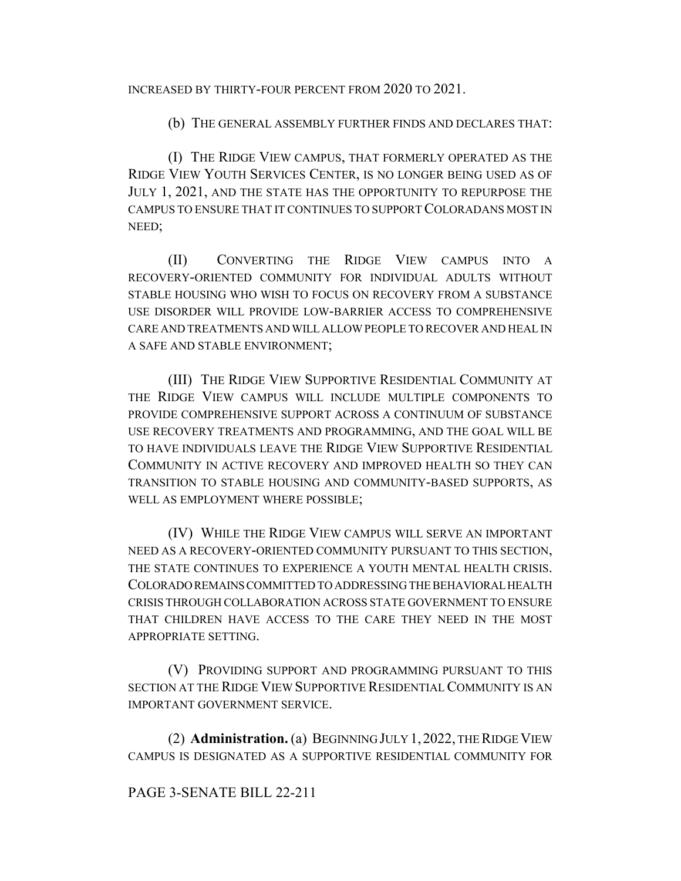INCREASED BY THIRTY-FOUR PERCENT FROM 2020 TO 2021.

(b) THE GENERAL ASSEMBLY FURTHER FINDS AND DECLARES THAT:

(I) THE RIDGE VIEW CAMPUS, THAT FORMERLY OPERATED AS THE RIDGE VIEW YOUTH SERVICES CENTER, IS NO LONGER BEING USED AS OF JULY 1, 2021, AND THE STATE HAS THE OPPORTUNITY TO REPURPOSE THE CAMPUS TO ENSURE THAT IT CONTINUES TO SUPPORT COLORADANS MOST IN NEED;

(II) CONVERTING THE RIDGE VIEW CAMPUS INTO A RECOVERY-ORIENTED COMMUNITY FOR INDIVIDUAL ADULTS WITHOUT STABLE HOUSING WHO WISH TO FOCUS ON RECOVERY FROM A SUBSTANCE USE DISORDER WILL PROVIDE LOW-BARRIER ACCESS TO COMPREHENSIVE CARE AND TREATMENTS AND WILL ALLOW PEOPLE TO RECOVER AND HEAL IN A SAFE AND STABLE ENVIRONMENT;

(III) THE RIDGE VIEW SUPPORTIVE RESIDENTIAL COMMUNITY AT THE RIDGE VIEW CAMPUS WILL INCLUDE MULTIPLE COMPONENTS TO PROVIDE COMPREHENSIVE SUPPORT ACROSS A CONTINUUM OF SUBSTANCE USE RECOVERY TREATMENTS AND PROGRAMMING, AND THE GOAL WILL BE TO HAVE INDIVIDUALS LEAVE THE RIDGE VIEW SUPPORTIVE RESIDENTIAL COMMUNITY IN ACTIVE RECOVERY AND IMPROVED HEALTH SO THEY CAN TRANSITION TO STABLE HOUSING AND COMMUNITY-BASED SUPPORTS, AS WELL AS EMPLOYMENT WHERE POSSIBLE;

(IV) WHILE THE RIDGE VIEW CAMPUS WILL SERVE AN IMPORTANT NEED AS A RECOVERY-ORIENTED COMMUNITY PURSUANT TO THIS SECTION, THE STATE CONTINUES TO EXPERIENCE A YOUTH MENTAL HEALTH CRISIS. COLORADO REMAINS COMMITTED TO ADDRESSING THE BEHAVIORAL HEALTH CRISIS THROUGH COLLABORATION ACROSS STATE GOVERNMENT TO ENSURE THAT CHILDREN HAVE ACCESS TO THE CARE THEY NEED IN THE MOST APPROPRIATE SETTING.

(V) PROVIDING SUPPORT AND PROGRAMMING PURSUANT TO THIS SECTION AT THE RIDGE VIEW SUPPORTIVE RESIDENTIAL COMMUNITY IS AN IMPORTANT GOVERNMENT SERVICE.

(2) **Administration.** (a) BEGINNING JULY 1, 2022, THE RIDGE VIEW CAMPUS IS DESIGNATED AS A SUPPORTIVE RESIDENTIAL COMMUNITY FOR

## PAGE 3-SENATE BILL 22-211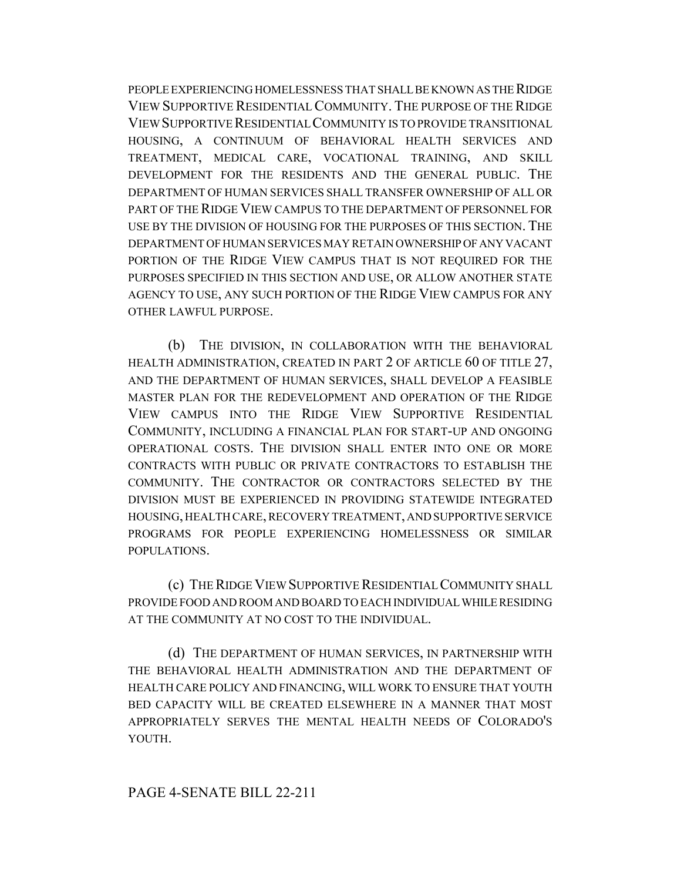PEOPLE EXPERIENCING HOMELESSNESS THAT SHALL BE KNOWN AS THE RIDGE VIEW SUPPORTIVE RESIDENTIAL COMMUNITY. THE PURPOSE OF THE RIDGE VIEW SUPPORTIVE RESIDENTIAL COMMUNITY IS TO PROVIDE TRANSITIONAL HOUSING, A CONTINUUM OF BEHAVIORAL HEALTH SERVICES AND TREATMENT, MEDICAL CARE, VOCATIONAL TRAINING, AND SKILL DEVELOPMENT FOR THE RESIDENTS AND THE GENERAL PUBLIC. THE DEPARTMENT OF HUMAN SERVICES SHALL TRANSFER OWNERSHIP OF ALL OR PART OF THE RIDGE VIEW CAMPUS TO THE DEPARTMENT OF PERSONNEL FOR USE BY THE DIVISION OF HOUSING FOR THE PURPOSES OF THIS SECTION. THE DEPARTMENT OF HUMAN SERVICES MAY RETAIN OWNERSHIP OF ANY VACANT PORTION OF THE RIDGE VIEW CAMPUS THAT IS NOT REQUIRED FOR THE PURPOSES SPECIFIED IN THIS SECTION AND USE, OR ALLOW ANOTHER STATE AGENCY TO USE, ANY SUCH PORTION OF THE RIDGE VIEW CAMPUS FOR ANY OTHER LAWFUL PURPOSE.

(b) THE DIVISION, IN COLLABORATION WITH THE BEHAVIORAL HEALTH ADMINISTRATION, CREATED IN PART 2 OF ARTICLE 60 OF TITLE 27, AND THE DEPARTMENT OF HUMAN SERVICES, SHALL DEVELOP A FEASIBLE MASTER PLAN FOR THE REDEVELOPMENT AND OPERATION OF THE RIDGE VIEW CAMPUS INTO THE RIDGE VIEW SUPPORTIVE RESIDENTIAL COMMUNITY, INCLUDING A FINANCIAL PLAN FOR START-UP AND ONGOING OPERATIONAL COSTS. THE DIVISION SHALL ENTER INTO ONE OR MORE CONTRACTS WITH PUBLIC OR PRIVATE CONTRACTORS TO ESTABLISH THE COMMUNITY. THE CONTRACTOR OR CONTRACTORS SELECTED BY THE DIVISION MUST BE EXPERIENCED IN PROVIDING STATEWIDE INTEGRATED HOUSING, HEALTH CARE, RECOVERY TREATMENT, AND SUPPORTIVE SERVICE PROGRAMS FOR PEOPLE EXPERIENCING HOMELESSNESS OR SIMILAR POPULATIONS.

(c) THE RIDGE VIEW SUPPORTIVE RESIDENTIAL COMMUNITY SHALL PROVIDE FOOD AND ROOM AND BOARD TO EACH INDIVIDUAL WHILE RESIDING AT THE COMMUNITY AT NO COST TO THE INDIVIDUAL.

(d) THE DEPARTMENT OF HUMAN SERVICES, IN PARTNERSHIP WITH THE BEHAVIORAL HEALTH ADMINISTRATION AND THE DEPARTMENT OF HEALTH CARE POLICY AND FINANCING, WILL WORK TO ENSURE THAT YOUTH BED CAPACITY WILL BE CREATED ELSEWHERE IN A MANNER THAT MOST APPROPRIATELY SERVES THE MENTAL HEALTH NEEDS OF COLORADO'S YOUTH.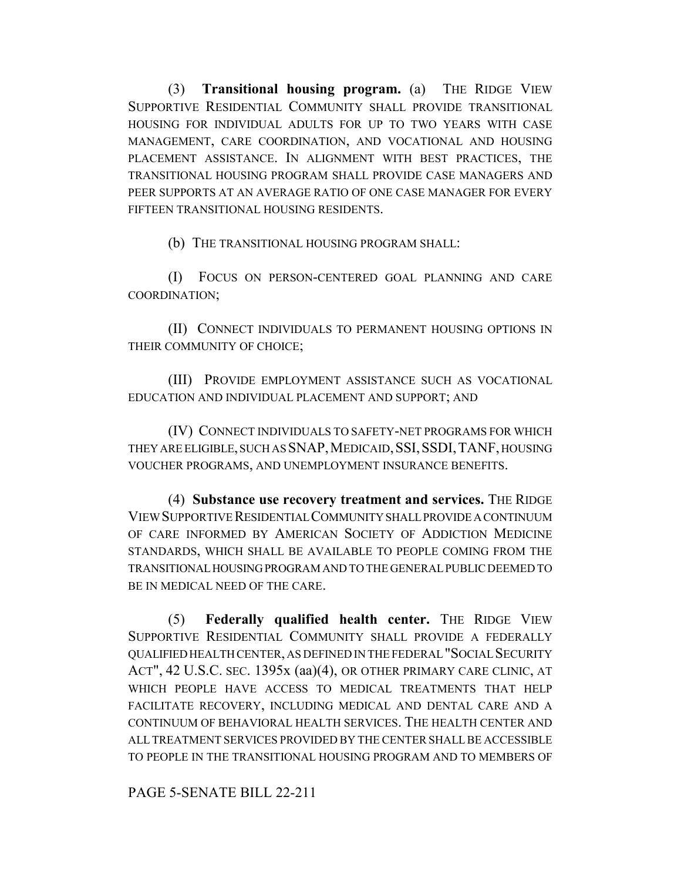(3) **Transitional housing program.** (a) THE RIDGE VIEW SUPPORTIVE RESIDENTIAL COMMUNITY SHALL PROVIDE TRANSITIONAL HOUSING FOR INDIVIDUAL ADULTS FOR UP TO TWO YEARS WITH CASE MANAGEMENT, CARE COORDINATION, AND VOCATIONAL AND HOUSING PLACEMENT ASSISTANCE. IN ALIGNMENT WITH BEST PRACTICES, THE TRANSITIONAL HOUSING PROGRAM SHALL PROVIDE CASE MANAGERS AND PEER SUPPORTS AT AN AVERAGE RATIO OF ONE CASE MANAGER FOR EVERY FIFTEEN TRANSITIONAL HOUSING RESIDENTS.

(b) THE TRANSITIONAL HOUSING PROGRAM SHALL:

(I) FOCUS ON PERSON-CENTERED GOAL PLANNING AND CARE COORDINATION;

(II) CONNECT INDIVIDUALS TO PERMANENT HOUSING OPTIONS IN THEIR COMMUNITY OF CHOICE;

(III) PROVIDE EMPLOYMENT ASSISTANCE SUCH AS VOCATIONAL EDUCATION AND INDIVIDUAL PLACEMENT AND SUPPORT; AND

(IV) CONNECT INDIVIDUALS TO SAFETY-NET PROGRAMS FOR WHICH THEY ARE ELIGIBLE, SUCH AS SNAP,MEDICAID,SSI,SSDI,TANF, HOUSING VOUCHER PROGRAMS, AND UNEMPLOYMENT INSURANCE BENEFITS.

(4) **Substance use recovery treatment and services.** THE RIDGE VIEW SUPPORTIVE RESIDENTIAL COMMUNITY SHALL PROVIDE A CONTINUUM OF CARE INFORMED BY AMERICAN SOCIETY OF ADDICTION MEDICINE STANDARDS, WHICH SHALL BE AVAILABLE TO PEOPLE COMING FROM THE TRANSITIONAL HOUSING PROGRAM AND TO THE GENERAL PUBLIC DEEMED TO BE IN MEDICAL NEED OF THE CARE.

(5) **Federally qualified health center.** THE RIDGE VIEW SUPPORTIVE RESIDENTIAL COMMUNITY SHALL PROVIDE A FEDERALLY QUALIFIED HEALTH CENTER, AS DEFINED IN THE FEDERAL "SOCIAL SECURITY ACT", 42 U.S.C. SEC. 1395x (aa)(4), OR OTHER PRIMARY CARE CLINIC, AT WHICH PEOPLE HAVE ACCESS TO MEDICAL TREATMENTS THAT HELP FACILITATE RECOVERY, INCLUDING MEDICAL AND DENTAL CARE AND A CONTINUUM OF BEHAVIORAL HEALTH SERVICES. THE HEALTH CENTER AND ALL TREATMENT SERVICES PROVIDED BY THE CENTER SHALL BE ACCESSIBLE TO PEOPLE IN THE TRANSITIONAL HOUSING PROGRAM AND TO MEMBERS OF

PAGE 5-SENATE BILL 22-211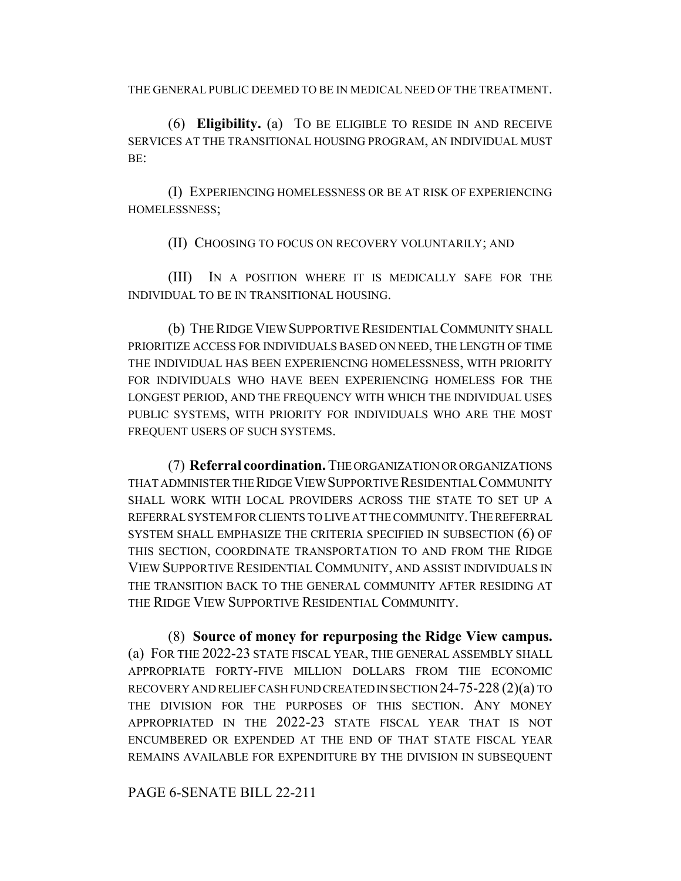THE GENERAL PUBLIC DEEMED TO BE IN MEDICAL NEED OF THE TREATMENT.

(6) **Eligibility.** (a) TO BE ELIGIBLE TO RESIDE IN AND RECEIVE SERVICES AT THE TRANSITIONAL HOUSING PROGRAM, AN INDIVIDUAL MUST BE:

(I) EXPERIENCING HOMELESSNESS OR BE AT RISK OF EXPERIENCING HOMELESSNESS;

(II) CHOOSING TO FOCUS ON RECOVERY VOLUNTARILY; AND

(III) IN A POSITION WHERE IT IS MEDICALLY SAFE FOR THE INDIVIDUAL TO BE IN TRANSITIONAL HOUSING.

(b) THE RIDGE VIEW SUPPORTIVE RESIDENTIAL COMMUNITY SHALL PRIORITIZE ACCESS FOR INDIVIDUALS BASED ON NEED, THE LENGTH OF TIME THE INDIVIDUAL HAS BEEN EXPERIENCING HOMELESSNESS, WITH PRIORITY FOR INDIVIDUALS WHO HAVE BEEN EXPERIENCING HOMELESS FOR THE LONGEST PERIOD, AND THE FREQUENCY WITH WHICH THE INDIVIDUAL USES PUBLIC SYSTEMS, WITH PRIORITY FOR INDIVIDUALS WHO ARE THE MOST FREQUENT USERS OF SUCH SYSTEMS.

(7) **Referral coordination.** THE ORGANIZATION OR ORGANIZATIONS THAT ADMINISTER THE RIDGE VIEW SUPPORTIVE RESIDENTIAL COMMUNITY SHALL WORK WITH LOCAL PROVIDERS ACROSS THE STATE TO SET UP A REFERRAL SYSTEM FOR CLIENTS TO LIVE AT THE COMMUNITY. THE REFERRAL SYSTEM SHALL EMPHASIZE THE CRITERIA SPECIFIED IN SUBSECTION (6) OF THIS SECTION, COORDINATE TRANSPORTATION TO AND FROM THE RIDGE VIEW SUPPORTIVE RESIDENTIAL COMMUNITY, AND ASSIST INDIVIDUALS IN THE TRANSITION BACK TO THE GENERAL COMMUNITY AFTER RESIDING AT THE RIDGE VIEW SUPPORTIVE RESIDENTIAL COMMUNITY.

(8) **Source of money for repurposing the Ridge View campus.** (a) FOR THE 2022-23 STATE FISCAL YEAR, THE GENERAL ASSEMBLY SHALL APPROPRIATE FORTY-FIVE MILLION DOLLARS FROM THE ECONOMIC RECOVERY AND RELIEF CASH FUND CREATED IN SECTION 24-75-228 (2)(a) TO THE DIVISION FOR THE PURPOSES OF THIS SECTION. ANY MONEY APPROPRIATED IN THE 2022-23 STATE FISCAL YEAR THAT IS NOT ENCUMBERED OR EXPENDED AT THE END OF THAT STATE FISCAL YEAR REMAINS AVAILABLE FOR EXPENDITURE BY THE DIVISION IN SUBSEQUENT

## PAGE 6-SENATE BILL 22-211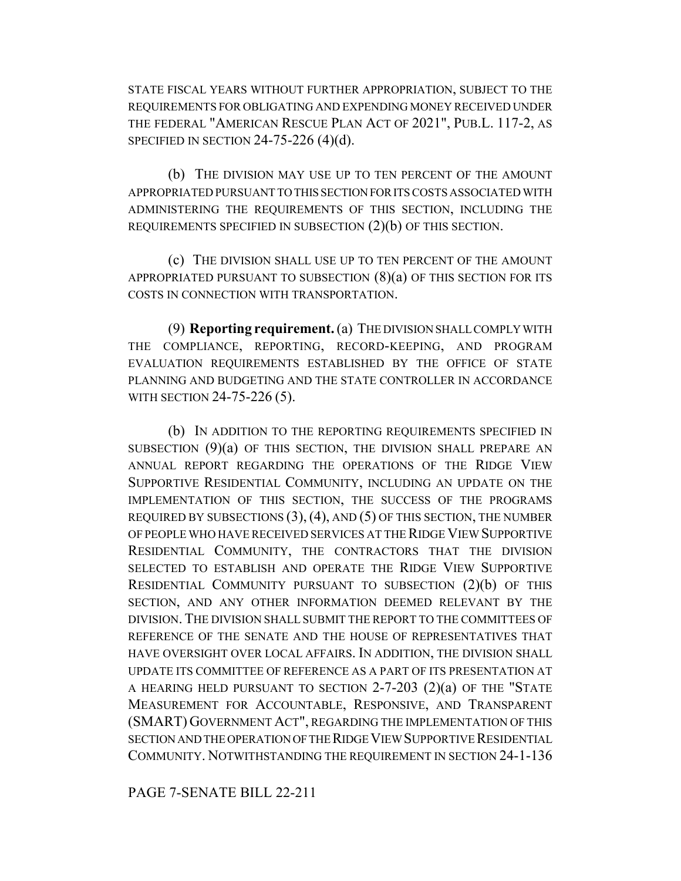STATE FISCAL YEARS WITHOUT FURTHER APPROPRIATION, SUBJECT TO THE REQUIREMENTS FOR OBLIGATING AND EXPENDING MONEY RECEIVED UNDER THE FEDERAL "AMERICAN RESCUE PLAN ACT OF 2021", PUB.L. 117-2, AS SPECIFIED IN SECTION  $24-75-226$  (4)(d).

(b) THE DIVISION MAY USE UP TO TEN PERCENT OF THE AMOUNT APPROPRIATED PURSUANT TO THIS SECTION FOR ITS COSTS ASSOCIATED WITH ADMINISTERING THE REQUIREMENTS OF THIS SECTION, INCLUDING THE REQUIREMENTS SPECIFIED IN SUBSECTION (2)(b) OF THIS SECTION.

(c) THE DIVISION SHALL USE UP TO TEN PERCENT OF THE AMOUNT APPROPRIATED PURSUANT TO SUBSECTION  $(8)(a)$  OF THIS SECTION FOR ITS COSTS IN CONNECTION WITH TRANSPORTATION.

(9) **Reporting requirement.** (a) THE DIVISION SHALL COMPLY WITH THE COMPLIANCE, REPORTING, RECORD-KEEPING, AND PROGRAM EVALUATION REQUIREMENTS ESTABLISHED BY THE OFFICE OF STATE PLANNING AND BUDGETING AND THE STATE CONTROLLER IN ACCORDANCE WITH SECTION 24-75-226 (5).

(b) IN ADDITION TO THE REPORTING REQUIREMENTS SPECIFIED IN SUBSECTION  $(9)(a)$  OF THIS SECTION, THE DIVISION SHALL PREPARE AN ANNUAL REPORT REGARDING THE OPERATIONS OF THE RIDGE VIEW SUPPORTIVE RESIDENTIAL COMMUNITY, INCLUDING AN UPDATE ON THE IMPLEMENTATION OF THIS SECTION, THE SUCCESS OF THE PROGRAMS REQUIRED BY SUBSECTIONS  $(3)$ ,  $(4)$ , AND  $(5)$  OF THIS SECTION, THE NUMBER OF PEOPLE WHO HAVE RECEIVED SERVICES AT THE RIDGE VIEW SUPPORTIVE RESIDENTIAL COMMUNITY, THE CONTRACTORS THAT THE DIVISION SELECTED TO ESTABLISH AND OPERATE THE RIDGE VIEW SUPPORTIVE RESIDENTIAL COMMUNITY PURSUANT TO SUBSECTION (2)(b) OF THIS SECTION, AND ANY OTHER INFORMATION DEEMED RELEVANT BY THE DIVISION. THE DIVISION SHALL SUBMIT THE REPORT TO THE COMMITTEES OF REFERENCE OF THE SENATE AND THE HOUSE OF REPRESENTATIVES THAT HAVE OVERSIGHT OVER LOCAL AFFAIRS. IN ADDITION, THE DIVISION SHALL UPDATE ITS COMMITTEE OF REFERENCE AS A PART OF ITS PRESENTATION AT A HEARING HELD PURSUANT TO SECTION 2-7-203 (2)(a) OF THE "STATE MEASUREMENT FOR ACCOUNTABLE, RESPONSIVE, AND TRANSPARENT (SMART) GOVERNMENT ACT", REGARDING THE IMPLEMENTATION OF THIS SECTION AND THE OPERATION OF THE RIDGE VIEW SUPPORTIVE RESIDENTIAL COMMUNITY. NOTWITHSTANDING THE REQUIREMENT IN SECTION 24-1-136

PAGE 7-SENATE BILL 22-211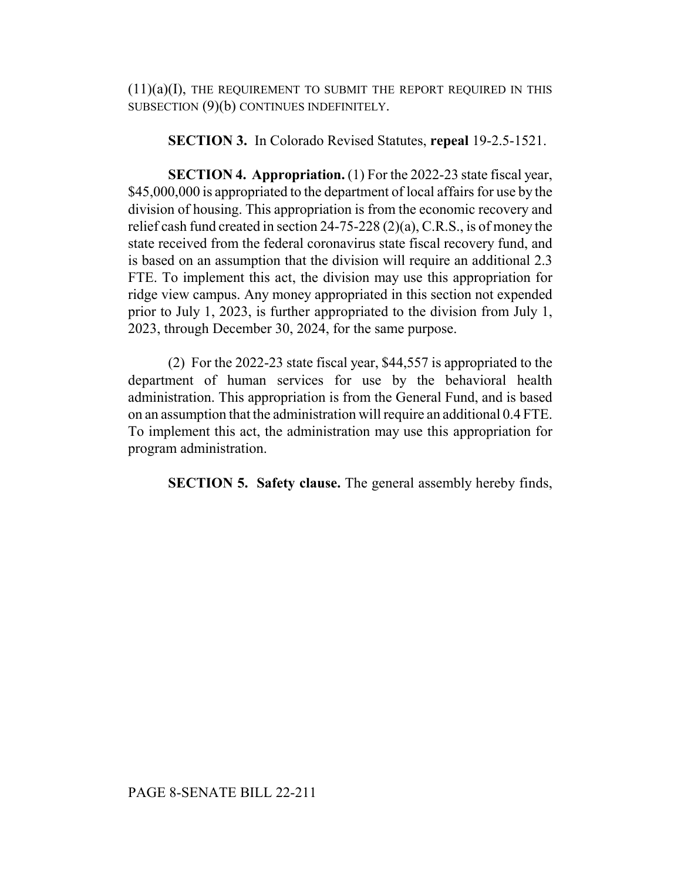$(11)(a)(I)$ , THE REQUIREMENT TO SUBMIT THE REPORT REQUIRED IN THIS SUBSECTION (9)(b) CONTINUES INDEFINITELY.

## **SECTION 3.** In Colorado Revised Statutes, **repeal** 19-2.5-1521.

**SECTION 4. Appropriation.** (1) For the 2022-23 state fiscal year, \$45,000,000 is appropriated to the department of local affairs for use by the division of housing. This appropriation is from the economic recovery and relief cash fund created in section 24-75-228 (2)(a), C.R.S., is of money the state received from the federal coronavirus state fiscal recovery fund, and is based on an assumption that the division will require an additional 2.3 FTE. To implement this act, the division may use this appropriation for ridge view campus. Any money appropriated in this section not expended prior to July 1, 2023, is further appropriated to the division from July 1, 2023, through December 30, 2024, for the same purpose.

(2) For the 2022-23 state fiscal year, \$44,557 is appropriated to the department of human services for use by the behavioral health administration. This appropriation is from the General Fund, and is based on an assumption that the administration will require an additional 0.4 FTE. To implement this act, the administration may use this appropriation for program administration.

**SECTION 5. Safety clause.** The general assembly hereby finds,